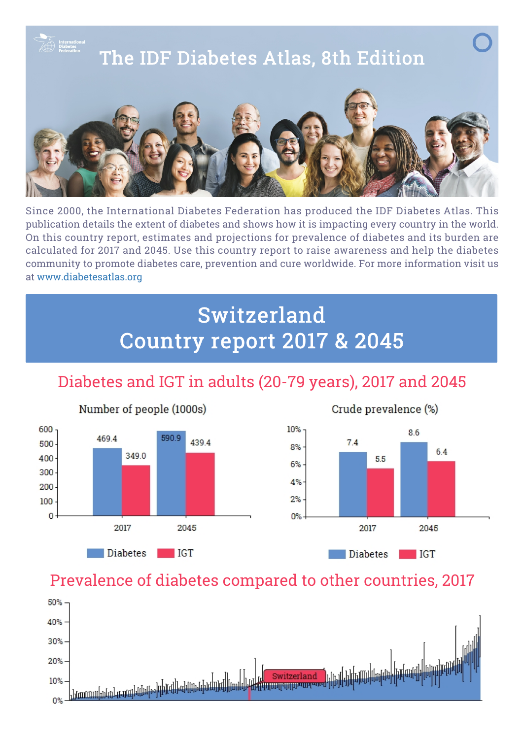

Since 2000, the International Diabetes Federation has produced the IDF Diabetes Atlas. This publication details the extent of diabetes and shows how it is impacting every country in the world. On this country report, estimates and projections for prevalence of diabetes and its burden are calculated for 2017 and 2045. Use this country report to raise awareness and help the diabetes community to promote diabetes care, prevention and cure worldwide. For more information visit us at [www.diabetesatlas.org](http://diabetesatlas.org/)

## Switzerland Country report 2017 & 2045

## Diabetes and IGT in adults (20-79 years), 2017 and 2045







## Prevalence of diabetes compared to other countries, 2017